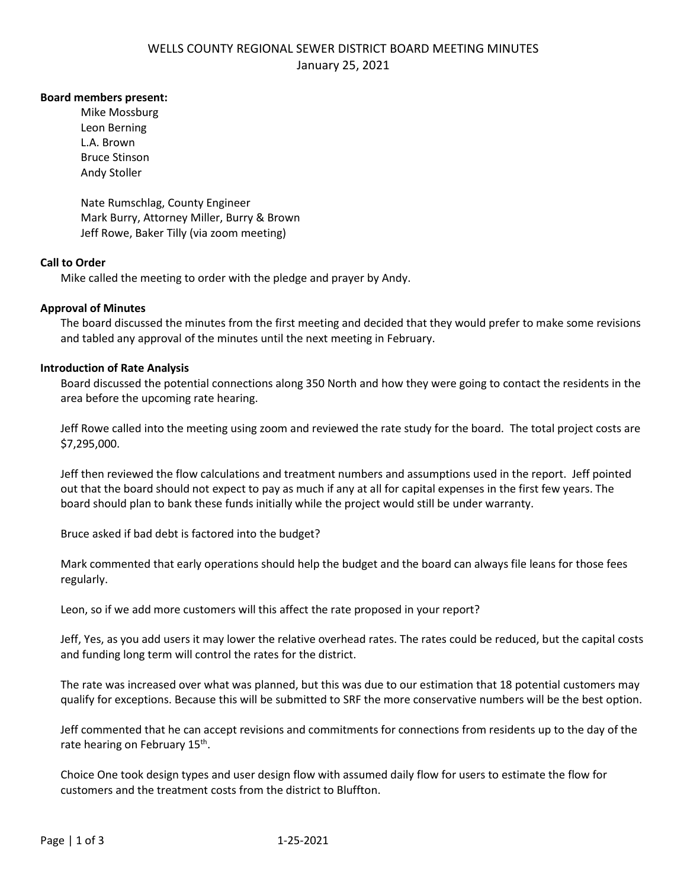# WELLS COUNTY REGIONAL SEWER DISTRICT BOARD MEETING MINUTES January 25, 2021

### **Board members present:**

Mike Mossburg Leon Berning L.A. Brown Bruce Stinson Andy Stoller

Nate Rumschlag, County Engineer Mark Burry, Attorney Miller, Burry & Brown Jeff Rowe, Baker Tilly (via zoom meeting)

## **Call to Order**

Mike called the meeting to order with the pledge and prayer by Andy.

## **Approval of Minutes**

The board discussed the minutes from the first meeting and decided that they would prefer to make some revisions and tabled any approval of the minutes until the next meeting in February.

## **Introduction of Rate Analysis**

Board discussed the potential connections along 350 North and how they were going to contact the residents in the area before the upcoming rate hearing.

Jeff Rowe called into the meeting using zoom and reviewed the rate study for the board. The total project costs are \$7,295,000.

Jeff then reviewed the flow calculations and treatment numbers and assumptions used in the report. Jeff pointed out that the board should not expect to pay as much if any at all for capital expenses in the first few years. The board should plan to bank these funds initially while the project would still be under warranty.

Bruce asked if bad debt is factored into the budget?

Mark commented that early operations should help the budget and the board can always file leans for those fees regularly.

Leon, so if we add more customers will this affect the rate proposed in your report?

Jeff, Yes, as you add users it may lower the relative overhead rates. The rates could be reduced, but the capital costs and funding long term will control the rates for the district.

The rate was increased over what was planned, but this was due to our estimation that 18 potential customers may qualify for exceptions. Because this will be submitted to SRF the more conservative numbers will be the best option.

Jeff commented that he can accept revisions and commitments for connections from residents up to the day of the rate hearing on February 15<sup>th</sup>.

Choice One took design types and user design flow with assumed daily flow for users to estimate the flow for customers and the treatment costs from the district to Bluffton.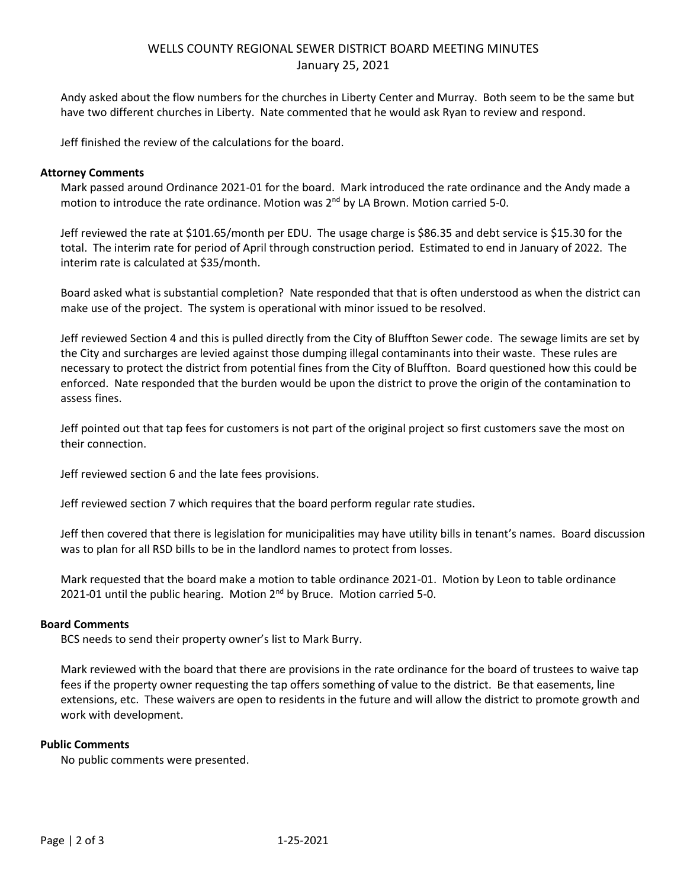# WELLS COUNTY REGIONAL SEWER DISTRICT BOARD MEETING MINUTES January 25, 2021

Andy asked about the flow numbers for the churches in Liberty Center and Murray. Both seem to be the same but have two different churches in Liberty. Nate commented that he would ask Ryan to review and respond.

Jeff finished the review of the calculations for the board.

### **Attorney Comments**

Mark passed around Ordinance 2021-01 for the board. Mark introduced the rate ordinance and the Andy made a motion to introduce the rate ordinance. Motion was 2<sup>nd</sup> by LA Brown. Motion carried 5-0.

Jeff reviewed the rate at \$101.65/month per EDU. The usage charge is \$86.35 and debt service is \$15.30 for the total. The interim rate for period of April through construction period. Estimated to end in January of 2022. The interim rate is calculated at \$35/month.

Board asked what is substantial completion? Nate responded that that is often understood as when the district can make use of the project. The system is operational with minor issued to be resolved.

Jeff reviewed Section 4 and this is pulled directly from the City of Bluffton Sewer code. The sewage limits are set by the City and surcharges are levied against those dumping illegal contaminants into their waste. These rules are necessary to protect the district from potential fines from the City of Bluffton. Board questioned how this could be enforced. Nate responded that the burden would be upon the district to prove the origin of the contamination to assess fines.

Jeff pointed out that tap fees for customers is not part of the original project so first customers save the most on their connection.

Jeff reviewed section 6 and the late fees provisions.

Jeff reviewed section 7 which requires that the board perform regular rate studies.

Jeff then covered that there is legislation for municipalities may have utility bills in tenant's names. Board discussion was to plan for all RSD bills to be in the landlord names to protect from losses.

Mark requested that the board make a motion to table ordinance 2021-01. Motion by Leon to table ordinance 2021-01 until the public hearing. Motion 2<sup>nd</sup> by Bruce. Motion carried 5-0.

#### **Board Comments**

BCS needs to send their property owner's list to Mark Burry.

Mark reviewed with the board that there are provisions in the rate ordinance for the board of trustees to waive tap fees if the property owner requesting the tap offers something of value to the district. Be that easements, line extensions, etc. These waivers are open to residents in the future and will allow the district to promote growth and work with development.

#### **Public Comments**

No public comments were presented.